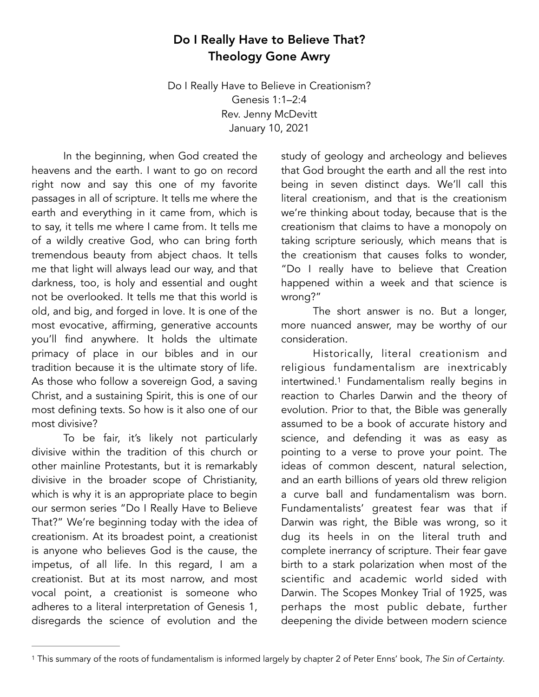## Do I Really Have to Believe That? Theology Gone Awry

Do I Really Have to Believe in Creationism? Genesis 1:1–2:4 Rev. Jenny McDevitt January 10, 2021

 In the beginning, when God created the heavens and the earth. I want to go on record right now and say this one of my favorite passages in all of scripture. It tells me where the earth and everything in it came from, which is to say, it tells me where I came from. It tells me of a wildly creative God, who can bring forth tremendous beauty from abject chaos. It tells me that light will always lead our way, and that darkness, too, is holy and essential and ought not be overlooked. It tells me that this world is old, and big, and forged in love. It is one of the most evocative, affirming, generative accounts you'll find anywhere. It holds the ultimate primacy of place in our bibles and in our tradition because it is the ultimate story of life. As those who follow a sovereign God, a saving Christ, and a sustaining Spirit, this is one of our most defining texts. So how is it also one of our most divisive?

 To be fair, it's likely not particularly divisive within the tradition of this church or other mainline Protestants, but it is remarkably divisive in the broader scope of Christianity, which is why it is an appropriate place to begin our sermon series "Do I Really Have to Believe That?" We're beginning today with the idea of creationism. At its broadest point, a creationist is anyone who believes God is the cause, the impetus, of all life. In this regard, I am a creationist. But at its most narrow, and most vocal point, a creationist is someone who adheres to a literal interpretation of Genesis 1, disregards the science of evolution and the

study of geology and archeology and believes that God brought the earth and all the rest into being in seven distinct days. We'll call this literal creationism, and that is the creationism we're thinking about today, because that is the creationism that claims to have a monopoly on taking scripture seriously, which means that is the creationism that causes folks to wonder, "Do I really have to believe that Creation happened within a week and that science is wrong?"

 The short answer is no. But a longer, more nuanced answer, may be worthy of our consideration.

<span id="page-0-1"></span> Historically, literal creationism and religious fundamentalism are inextricably intertwined.<sup>[1](#page-0-0)</sup> Fundamentalism really begins in reaction to Charles Darwin and the theory of evolution. Prior to that, the Bible was generally assumed to be a book of accurate history and science, and defending it was as easy as pointing to a verse to prove your point. The ideas of common descent, natural selection, and an earth billions of years old threw religion a curve ball and fundamentalism was born. Fundamentalists' greatest fear was that if Darwin was right, the Bible was wrong, so it dug its heels in on the literal truth and complete inerrancy of scripture. Their fear gave birth to a stark polarization when most of the scientific and academic world sided with Darwin. The Scopes Monkey Trial of 1925, was perhaps the most public debate, further deepening the divide between modern science

<span id="page-0-0"></span>This summary of the roots of fundamentalism is informed largely by chapter 2 of Peter Enns' book, *The Sin of Certainty*. [1](#page-0-1)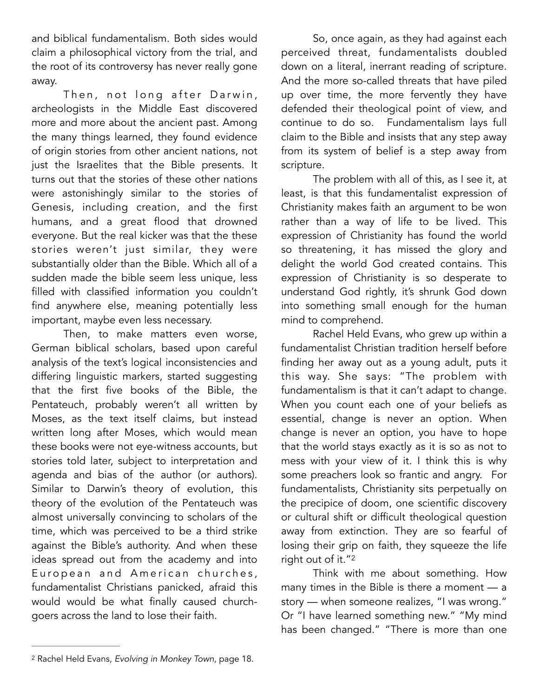and biblical fundamentalism. Both sides would claim a philosophical victory from the trial, and the root of its controversy has never really gone away.

Then, not long after Darwin, archeologists in the Middle East discovered more and more about the ancient past. Among the many things learned, they found evidence of origin stories from other ancient nations, not just the Israelites that the Bible presents. It turns out that the stories of these other nations were astonishingly similar to the stories of Genesis, including creation, and the first humans, and a great flood that drowned everyone. But the real kicker was that the these stories weren't just similar, they were substantially older than the Bible. Which all of a sudden made the bible seem less unique, less filled with classified information you couldn't find anywhere else, meaning potentially less important, maybe even less necessary.

 Then, to make matters even worse, German biblical scholars, based upon careful analysis of the text's logical inconsistencies and differing linguistic markers, started suggesting that the first five books of the Bible, the Pentateuch, probably weren't all written by Moses, as the text itself claims, but instead written long after Moses, which would mean these books were not eye-witness accounts, but stories told later, subject to interpretation and agenda and bias of the author (or authors). Similar to Darwin's theory of evolution, this theory of the evolution of the Pentateuch was almost universally convincing to scholars of the time, which was perceived to be a third strike against the Bible's authority. And when these ideas spread out from the academy and into European and American churches, fundamentalist Christians panicked, afraid this would would be what finally caused churchgoers across the land to lose their faith.

 So, once again, as they had against each perceived threat, fundamentalists doubled down on a literal, inerrant reading of scripture. And the more so-called threats that have piled up over time, the more fervently they have defended their theological point of view, and continue to do so. Fundamentalism lays full claim to the Bible and insists that any step away from its system of belief is a step away from scripture.

 The problem with all of this, as I see it, at least, is that this fundamentalist expression of Christianity makes faith an argument to be won rather than a way of life to be lived. This expression of Christianity has found the world so threatening, it has missed the glory and delight the world God created contains. This expression of Christianity is so desperate to understand God rightly, it's shrunk God down into something small enough for the human mind to comprehend.

 Rachel Held Evans, who grew up within a fundamentalist Christian tradition herself before finding her away out as a young adult, puts it this way. She says: "The problem with fundamentalism is that it can't adapt to change. When you count each one of your beliefs as essential, change is never an option. When change is never an option, you have to hope that the world stays exactly as it is so as not to mess with your view of it. I think this is why some preachers look so frantic and angry. For fundamentalists, Christianity sits perpetually on the precipice of doom, one scientific discovery or cultural shift or difficult theological question away from extinction. They are so fearful of losing their grip on faith, they squeeze the life right out of it."<sup>2</sup>

<span id="page-1-1"></span> Think with me about something. How many times in the Bible is there a moment — a story — when someone realizes, "I was wrong." Or "I have learned something new." "My mind has been changed." "There is more than one

<span id="page-1-0"></span>Rachel Held Evans, *Evolving in Monkey Town*, page 18. [2](#page-1-1)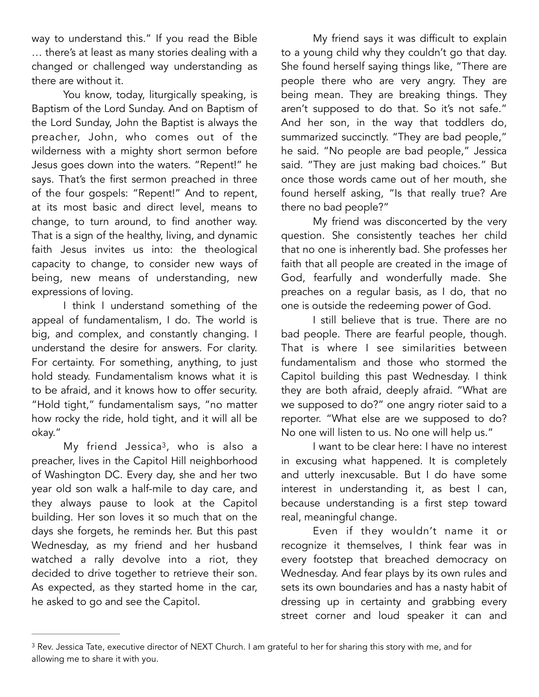way to understand this." If you read the Bible … there's at least as many stories dealing with a changed or challenged way understanding as there are without it

You know, today, liturgically speaking, is Baptism of the Lord Sunday. And on Baptism of the Lord Sunday, John the Baptist is always the preacher, John, who comes out of the wilderness with a mighty short sermon before Jesus goes down into the waters. "Repent!" he says. That's the first sermon preached in three of the four gospels: "Repent!" And to repent, at its most basic and direct level, means to change, to turn around, to find another way. That is a sign of the healthy, living, and dynamic faith Jesus invites us into: the theological capacity to change, to consider new ways of being, new means of understanding, new expressions of loving.

 I think I understand something of the appeal of fundamentalism, I do. The world is big, and complex, and constantly changing. I understand the desire for answers. For clarity. For certainty. For something, anything, to just hold steady. Fundamentalism knows what it is to be afraid, and it knows how to offer security. "Hold tight," fundamentalism says, "no matter how rocky the ride, hold tight, and it will all be okay."

My friend Jessica<sup>3</sup>[,](#page-2-0) who is also a preacher, lives in the Capitol Hill neighborhood of Washington DC. Every day, she and her two year old son walk a half-mile to day care, and they always pause to look at the Capitol building. Her son loves it so much that on the days she forgets, he reminds her. But this past Wednesday, as my friend and her husband watched a rally devolve into a riot, they decided to drive together to retrieve their son. As expected, as they started home in the car, he asked to go and see the Capitol.

 My friend says it was difficult to explain to a young child why they couldn't go that day. She found herself saying things like, "There are people there who are very angry. They are being mean. They are breaking things. They aren't supposed to do that. So it's not safe." And her son, in the way that toddlers do, summarized succinctly. "They are bad people," he said. "No people are bad people," Jessica said. "They are just making bad choices." But once those words came out of her mouth, she found herself asking, "Is that really true? Are there no bad people?"

 My friend was disconcerted by the very question. She consistently teaches her child that no one is inherently bad. She professes her faith that all people are created in the image of God, fearfully and wonderfully made. She preaches on a regular basis, as I do, that no one is outside the redeeming power of God.

 I still believe that is true. There are no bad people. There are fearful people, though. That is where I see similarities between fundamentalism and those who stormed the Capitol building this past Wednesday. I think they are both afraid, deeply afraid. "What are we supposed to do?" one angry rioter said to a reporter. "What else are we supposed to do? No one will listen to us. No one will help us."

<span id="page-2-1"></span> I want to be clear here: I have no interest in excusing what happened. It is completely and utterly inexcusable. But I do have some interest in understanding it, as best I can, because understanding is a first step toward real, meaningful change.

 Even if they wouldn't name it or recognize it themselves, I think fear was in every footstep that breached democracy on Wednesday. And fear plays by its own rules and sets its own boundaries and has a nasty habit of dressing up in certainty and grabbing every street corner and loud speaker it can and

<span id="page-2-0"></span><sup>&</sup>lt;sup>3</sup>Rev. Jessica Tate, executive director of NEXT Church. I am grateful to her for sharing this story with me, and for allowing me to share it with you.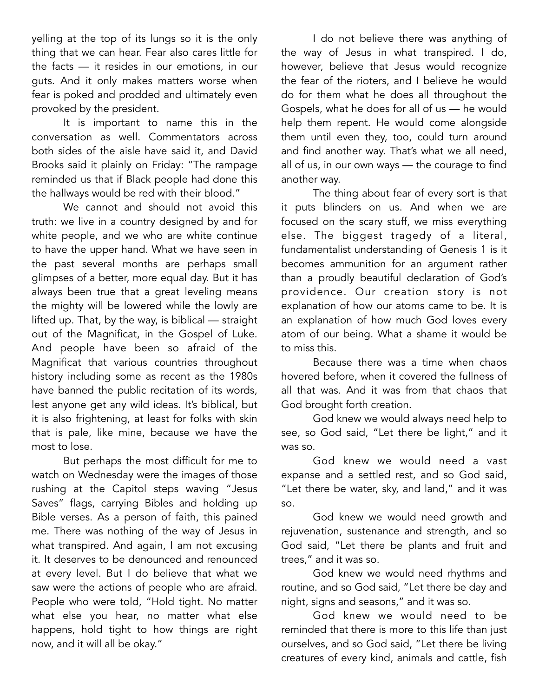yelling at the top of its lungs so it is the only thing that we can hear. Fear also cares little for the facts — it resides in our emotions, in our guts. And it only makes matters worse when fear is poked and prodded and ultimately even provoked by the president.

 It is important to name this in the conversation as well. Commentators across both sides of the aisle have said it, and David Brooks said it plainly on Friday: "The rampage reminded us that if Black people had done this the hallways would be red with their blood."

We cannot and should not avoid this truth: we live in a country designed by and for white people, and we who are white continue to have the upper hand. What we have seen in the past several months are perhaps small glimpses of a better, more equal day. But it has always been true that a great leveling means the mighty will be lowered while the lowly are lifted up. That, by the way, is biblical — straight out of the Magnificat, in the Gospel of Luke. And people have been so afraid of the Magnificat that various countries throughout history including some as recent as the 1980s have banned the public recitation of its words, lest anyone get any wild ideas. It's biblical, but it is also frightening, at least for folks with skin that is pale, like mine, because we have the most to lose.

 But perhaps the most difficult for me to watch on Wednesday were the images of those rushing at the Capitol steps waving "Jesus Saves" flags, carrying Bibles and holding up Bible verses. As a person of faith, this pained me. There was nothing of the way of Jesus in what transpired. And again, I am not excusing it. It deserves to be denounced and renounced at every level. But I do believe that what we saw were the actions of people who are afraid. People who were told, "Hold tight. No matter what else you hear, no matter what else happens, hold tight to how things are right now, and it will all be okay."

 I do not believe there was anything of the way of Jesus in what transpired. I do, however, believe that Jesus would recognize the fear of the rioters, and I believe he would do for them what he does all throughout the Gospels, what he does for all of us — he would help them repent. He would come alongside them until even they, too, could turn around and find another way. That's what we all need, all of us, in our own ways — the courage to find another way.

 The thing about fear of every sort is that it puts blinders on us. And when we are focused on the scary stuff, we miss everything else. The biggest tragedy of a literal, fundamentalist understanding of Genesis 1 is it becomes ammunition for an argument rather than a proudly beautiful declaration of God's providence. Our creation story is not explanation of how our atoms came to be. It is an explanation of how much God loves every atom of our being. What a shame it would be to miss this.

 Because there was a time when chaos hovered before, when it covered the fullness of all that was. And it was from that chaos that God brought forth creation.

 God knew we would always need help to see, so God said, "Let there be light," and it was so.

 God knew we would need a vast expanse and a settled rest, and so God said, "Let there be water, sky, and land," and it was so.

 God knew we would need growth and rejuvenation, sustenance and strength, and so God said, "Let there be plants and fruit and trees," and it was so.

 God knew we would need rhythms and routine, and so God said, "Let there be day and night, signs and seasons," and it was so.

 God knew we would need to be reminded that there is more to this life than just ourselves, and so God said, "Let there be living creatures of every kind, animals and cattle, fish